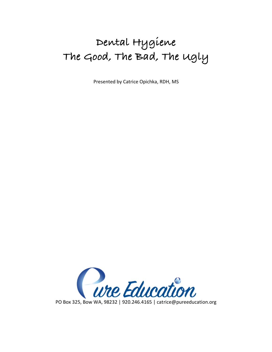# **Dental Hygiene The Good, The Bad, The Ugly**

Presented by Catrice Opichka, RDH, MS

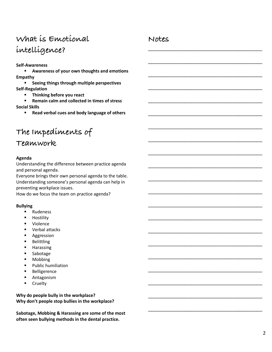## **What is Emotional intelligence?**

#### **Self-Awareness**

§ **Awareness of your own thoughts and emotions Empathy**

§ **Seeing things through multiple perspectives Self-Regulation**

§ **Thinking before you react**

§ **Remain calm and collected in times of stress Social Skills**

■ **Read verbal cues and body language of others** 

## **The Impediments of**

### **Teamwork**

#### **Agenda**

Understanding the difference between practice agenda and personal agenda.

Everyone brings their own personal agenda to the table. Understanding someone's personal agenda can help in preventing workplace issues.

How do we focus the team on practice agenda?

#### **Bullying**

- § Rudeness
- **■** Hostility
- § Violence
- Verbal attacks
- Aggression
- § Belittling
- § Harassing
- Sabotage
- Mobbing
- § Public humiliation
- § Belligerence
- Antagonism
- § Cruelty

**Why do people bully in the workplace? Why don't people stop bullies in the workplace?**

**Sabotage, Mobbing & Harassing are some of the most often seen bullying methods in the dental practice.**

### **Notes**

\_\_\_\_\_\_\_\_\_\_\_\_\_\_\_\_\_\_\_\_\_\_\_\_\_\_\_\_\_\_\_\_\_\_\_\_\_\_\_\_\_\_\_

\_\_\_\_\_\_\_\_\_\_\_\_\_\_\_\_\_\_\_\_\_\_\_\_\_\_\_\_\_\_\_\_\_\_\_\_\_\_\_\_\_\_\_

\_\_\_\_\_\_\_\_\_\_\_\_\_\_\_\_\_\_\_\_\_\_\_\_\_\_\_\_\_\_\_\_\_\_\_\_\_\_\_\_\_\_\_

\_\_\_\_\_\_\_\_\_\_\_\_\_\_\_\_\_\_\_\_\_\_\_\_\_\_\_\_\_\_\_\_\_\_\_\_\_\_\_\_\_\_\_

\_\_\_\_\_\_\_\_\_\_\_\_\_\_\_\_\_\_\_\_\_\_\_\_\_\_\_\_\_\_\_\_\_\_\_\_\_\_\_\_\_\_\_

\_\_\_\_\_\_\_\_\_\_\_\_\_\_\_\_\_\_\_\_\_\_\_\_\_\_\_\_\_\_\_\_\_\_\_\_\_\_\_\_\_\_\_

\_\_\_\_\_\_\_\_\_\_\_\_\_\_\_\_\_\_\_\_\_\_\_\_\_\_\_\_\_\_\_\_\_\_\_\_\_\_\_\_\_\_\_

\_\_\_\_\_\_\_\_\_\_\_\_\_\_\_\_\_\_\_\_\_\_\_\_\_\_\_\_\_\_\_\_\_\_\_\_\_\_\_\_\_\_\_

\_\_\_\_\_\_\_\_\_\_\_\_\_\_\_\_\_\_\_\_\_\_\_\_\_\_\_\_\_\_\_\_\_\_\_\_\_\_\_\_\_\_\_

\_\_\_\_\_\_\_\_\_\_\_\_\_\_\_\_\_\_\_\_\_\_\_\_\_\_\_\_\_\_\_\_\_\_\_\_\_\_\_\_\_\_\_

\_\_\_\_\_\_\_\_\_\_\_\_\_\_\_\_\_\_\_\_\_\_\_\_\_\_\_\_\_\_\_\_\_\_\_\_\_\_\_\_\_\_\_

\_\_\_\_\_\_\_\_\_\_\_\_\_\_\_\_\_\_\_\_\_\_\_\_\_\_\_\_\_\_\_\_\_\_\_\_\_\_\_\_\_\_\_

\_\_\_\_\_\_\_\_\_\_\_\_\_\_\_\_\_\_\_\_\_\_\_\_\_\_\_\_\_\_\_\_\_\_\_\_\_\_\_\_\_\_\_

\_\_\_\_\_\_\_\_\_\_\_\_\_\_\_\_\_\_\_\_\_\_\_\_\_\_\_\_\_\_\_\_\_\_\_\_\_\_\_\_\_\_\_

\_\_\_\_\_\_\_\_\_\_\_\_\_\_\_\_\_\_\_\_\_\_\_\_\_\_\_\_\_\_\_\_\_\_\_\_\_\_\_\_\_\_\_

\_\_\_\_\_\_\_\_\_\_\_\_\_\_\_\_\_\_\_\_\_\_\_\_\_\_\_\_\_\_\_\_\_\_\_\_\_\_\_\_\_\_\_

\_\_\_\_\_\_\_\_\_\_\_\_\_\_\_\_\_\_\_\_\_\_\_\_\_\_\_\_\_\_\_\_\_\_\_\_\_\_\_\_\_\_\_

\_\_\_\_\_\_\_\_\_\_\_\_\_\_\_\_\_\_\_\_\_\_\_\_\_\_\_\_\_\_\_\_\_\_\_\_\_\_\_\_\_\_\_

\_\_\_\_\_\_\_\_\_\_\_\_\_\_\_\_\_\_\_\_\_\_\_\_\_\_\_\_\_\_\_\_\_\_\_\_\_\_\_\_\_\_\_

\_\_\_\_\_\_\_\_\_\_\_\_\_\_\_\_\_\_\_\_\_\_\_\_\_\_\_\_\_\_\_\_\_\_\_\_\_\_\_\_\_\_\_

\_\_\_\_\_\_\_\_\_\_\_\_\_\_\_\_\_\_\_\_\_\_\_\_\_\_\_\_\_\_\_\_\_\_\_\_\_\_\_\_\_\_\_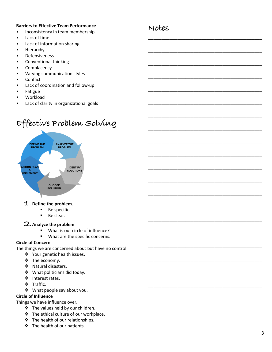#### **Barriers to Effective Team Performance**

- Inconsistency in team membership
- Lack of time
- Lack of information sharing
- **Hierarchy**
- **Defensiveness**
- Conventional thinking
- **Complacency**
- Varying communication styles
- Conflict
- Lack of coordination and follow-up
- **Fatigue**
- **Workload**
- Lack of clarity in organizational goals

## **Effective Problem Solving**



### **1. Define the problem.**

- Be specific.
- Be clear.

### **2.** Analyze the problem

- § What is our circle of influence?
- What are the specific concerns.

#### **Circle of Concern**

The things we are concerned about but have no control.

- ❖ Your genetic health issues.
- $\div$  The economy.
- ❖ Natural disasters.
- $\clubsuit$  What politicians did today.
- ❖ Interest rates.
- v Traffic.
- ❖ What people say about you.

#### **Circle of Influence**

Things we have influence over.

- ❖ The values held by our children.
- $\div$  The ethical culture of our workplace.
- $\div$  The health of our relationships.
- $\div$  The health of our patients.

\_\_\_\_\_\_\_\_\_\_\_\_\_\_\_\_\_\_\_\_\_\_\_\_\_\_\_\_\_\_\_\_\_\_\_\_\_\_\_\_\_\_\_

\_\_\_\_\_\_\_\_\_\_\_\_\_\_\_\_\_\_\_\_\_\_\_\_\_\_\_\_\_\_\_\_\_\_\_\_\_\_\_\_\_\_\_

\_\_\_\_\_\_\_\_\_\_\_\_\_\_\_\_\_\_\_\_\_\_\_\_\_\_\_\_\_\_\_\_\_\_\_\_\_\_\_\_\_\_\_

\_\_\_\_\_\_\_\_\_\_\_\_\_\_\_\_\_\_\_\_\_\_\_\_\_\_\_\_\_\_\_\_\_\_\_\_\_\_\_\_\_\_\_

\_\_\_\_\_\_\_\_\_\_\_\_\_\_\_\_\_\_\_\_\_\_\_\_\_\_\_\_\_\_\_\_\_\_\_\_\_\_\_\_\_\_\_

\_\_\_\_\_\_\_\_\_\_\_\_\_\_\_\_\_\_\_\_\_\_\_\_\_\_\_\_\_\_\_\_\_\_\_\_\_\_\_\_\_\_\_

\_\_\_\_\_\_\_\_\_\_\_\_\_\_\_\_\_\_\_\_\_\_\_\_\_\_\_\_\_\_\_\_\_\_\_\_\_\_\_\_\_\_\_

\_\_\_\_\_\_\_\_\_\_\_\_\_\_\_\_\_\_\_\_\_\_\_\_\_\_\_\_\_\_\_\_\_\_\_\_\_\_\_\_\_\_\_

\_\_\_\_\_\_\_\_\_\_\_\_\_\_\_\_\_\_\_\_\_\_\_\_\_\_\_\_\_\_\_\_\_\_\_\_\_\_\_\_\_\_\_

\_\_\_\_\_\_\_\_\_\_\_\_\_\_\_\_\_\_\_\_\_\_\_\_\_\_\_\_\_\_\_\_\_\_\_\_\_\_\_\_\_\_\_

\_\_\_\_\_\_\_\_\_\_\_\_\_\_\_\_\_\_\_\_\_\_\_\_\_\_\_\_\_\_\_\_\_\_\_\_\_\_\_\_\_\_\_

\_\_\_\_\_\_\_\_\_\_\_\_\_\_\_\_\_\_\_\_\_\_\_\_\_\_\_\_\_\_\_\_\_\_\_\_\_\_\_\_\_\_\_

\_\_\_\_\_\_\_\_\_\_\_\_\_\_\_\_\_\_\_\_\_\_\_\_\_\_\_\_\_\_\_\_\_\_\_\_\_\_\_\_\_\_\_

\_\_\_\_\_\_\_\_\_\_\_\_\_\_\_\_\_\_\_\_\_\_\_\_\_\_\_\_\_\_\_\_\_\_\_\_\_\_\_\_\_\_\_

\_\_\_\_\_\_\_\_\_\_\_\_\_\_\_\_\_\_\_\_\_\_\_\_\_\_\_\_\_\_\_\_\_\_\_\_\_\_\_\_\_\_\_

\_\_\_\_\_\_\_\_\_\_\_\_\_\_\_\_\_\_\_\_\_\_\_\_\_\_\_\_\_\_\_\_\_\_\_\_\_\_\_\_\_\_\_

\_\_\_\_\_\_\_\_\_\_\_\_\_\_\_\_\_\_\_\_\_\_\_\_\_\_\_\_\_\_\_\_\_\_\_\_\_\_\_\_\_\_\_

\_\_\_\_\_\_\_\_\_\_\_\_\_\_\_\_\_\_\_\_\_\_\_\_\_\_\_\_\_\_\_\_\_\_\_\_\_\_\_\_\_\_\_

\_\_\_\_\_\_\_\_\_\_\_\_\_\_\_\_\_\_\_\_\_\_\_\_\_\_\_\_\_\_\_\_\_\_\_\_\_\_\_\_\_\_\_

\_\_\_\_\_\_\_\_\_\_\_\_\_\_\_\_\_\_\_\_\_\_\_\_\_\_\_\_\_\_\_\_\_\_\_\_\_\_\_\_\_\_\_

\_\_\_\_\_\_\_\_\_\_\_\_\_\_\_\_\_\_\_\_\_\_\_\_\_\_\_\_\_\_\_\_\_\_\_\_\_\_\_\_\_\_\_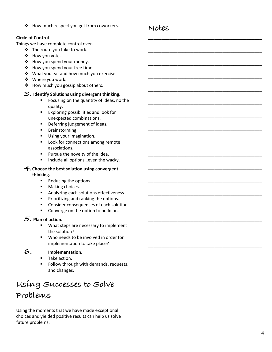\* How much respect you get from coworkers.

#### **Circle of Control**

Things we have complete control over.

- $\div$  The route you take to work.
- \* How you vote.
- ❖ How you spend your money.
- $\div$  How you spend your free time.
- $\div$  What you eat and how much you exercise.
- ❖ Where you work.
- $\triangleleft$  How much you gossip about others.

#### **3. Identify Solutions using divergent thinking.**

- Focusing on the quantity of ideas, no the quality.
- Exploring possibilities and look for unexpected combinations.
- **■** Deferring judgement of ideas.
- § Brainstorming.
- Using your imagination.
- Look for connections among remote associations.
- **•** Pursue the novelty of the idea.
- Include all options...even the wacky.

#### **4.Choose the best solution using convergent thinking.**

- Reducing the options.
- Making choices.
- Analyzing each solutions effectiveness.
- **•** Prioritizing and ranking the options.
- Consider consequences of each solution.
- Converge on the option to build on.

#### **5. Plan of action.**

- What steps are necessary to implement the solution?
- Who needs to be involved in order for implementation to take place?

#### **6. Implementation.**

- Take action.
- Follow through with demands, requests, and changes.

## **Using Successes to Solve Problems**

Using the moments that we have made exceptional choices and yielded positive results can help us solve future problems.

### **Notes**

\_\_\_\_\_\_\_\_\_\_\_\_\_\_\_\_\_\_\_\_\_\_\_\_\_\_\_\_\_\_\_\_\_\_\_\_\_\_\_\_\_\_\_

\_\_\_\_\_\_\_\_\_\_\_\_\_\_\_\_\_\_\_\_\_\_\_\_\_\_\_\_\_\_\_\_\_\_\_\_\_\_\_\_\_\_\_

\_\_\_\_\_\_\_\_\_\_\_\_\_\_\_\_\_\_\_\_\_\_\_\_\_\_\_\_\_\_\_\_\_\_\_\_\_\_\_\_\_\_\_

\_\_\_\_\_\_\_\_\_\_\_\_\_\_\_\_\_\_\_\_\_\_\_\_\_\_\_\_\_\_\_\_\_\_\_\_\_\_\_\_\_\_\_

\_\_\_\_\_\_\_\_\_\_\_\_\_\_\_\_\_\_\_\_\_\_\_\_\_\_\_\_\_\_\_\_\_\_\_\_\_\_\_\_\_\_\_

\_\_\_\_\_\_\_\_\_\_\_\_\_\_\_\_\_\_\_\_\_\_\_\_\_\_\_\_\_\_\_\_\_\_\_\_\_\_\_\_\_\_\_

\_\_\_\_\_\_\_\_\_\_\_\_\_\_\_\_\_\_\_\_\_\_\_\_\_\_\_\_\_\_\_\_\_\_\_\_\_\_\_\_\_\_\_

\_\_\_\_\_\_\_\_\_\_\_\_\_\_\_\_\_\_\_\_\_\_\_\_\_\_\_\_\_\_\_\_\_\_\_\_\_\_\_\_\_\_\_

\_\_\_\_\_\_\_\_\_\_\_\_\_\_\_\_\_\_\_\_\_\_\_\_\_\_\_\_\_\_\_\_\_\_\_\_\_\_\_\_\_\_\_

\_\_\_\_\_\_\_\_\_\_\_\_\_\_\_\_\_\_\_\_\_\_\_\_\_\_\_\_\_\_\_\_\_\_\_\_\_\_\_\_\_\_\_

\_\_\_\_\_\_\_\_\_\_\_\_\_\_\_\_\_\_\_\_\_\_\_\_\_\_\_\_\_\_\_\_\_\_\_\_\_\_\_\_\_\_\_

\_\_\_\_\_\_\_\_\_\_\_\_\_\_\_\_\_\_\_\_\_\_\_\_\_\_\_\_\_\_\_\_\_\_\_\_\_\_\_\_\_\_\_

\_\_\_\_\_\_\_\_\_\_\_\_\_\_\_\_\_\_\_\_\_\_\_\_\_\_\_\_\_\_\_\_\_\_\_\_\_\_\_\_\_\_\_

\_\_\_\_\_\_\_\_\_\_\_\_\_\_\_\_\_\_\_\_\_\_\_\_\_\_\_\_\_\_\_\_\_\_\_\_\_\_\_\_\_\_\_

\_\_\_\_\_\_\_\_\_\_\_\_\_\_\_\_\_\_\_\_\_\_\_\_\_\_\_\_\_\_\_\_\_\_\_\_\_\_\_\_\_\_\_

\_\_\_\_\_\_\_\_\_\_\_\_\_\_\_\_\_\_\_\_\_\_\_\_\_\_\_\_\_\_\_\_\_\_\_\_\_\_\_\_\_\_\_

\_\_\_\_\_\_\_\_\_\_\_\_\_\_\_\_\_\_\_\_\_\_\_\_\_\_\_\_\_\_\_\_\_\_\_\_\_\_\_\_\_\_\_

\_\_\_\_\_\_\_\_\_\_\_\_\_\_\_\_\_\_\_\_\_\_\_\_\_\_\_\_\_\_\_\_\_\_\_\_\_\_\_\_\_\_\_

\_\_\_\_\_\_\_\_\_\_\_\_\_\_\_\_\_\_\_\_\_\_\_\_\_\_\_\_\_\_\_\_\_\_\_\_\_\_\_\_\_\_\_

\_\_\_\_\_\_\_\_\_\_\_\_\_\_\_\_\_\_\_\_\_\_\_\_\_\_\_\_\_\_\_\_\_\_\_\_\_\_\_\_\_\_\_

\_\_\_\_\_\_\_\_\_\_\_\_\_\_\_\_\_\_\_\_\_\_\_\_\_\_\_\_\_\_\_\_\_\_\_\_\_\_\_\_\_\_\_

\_\_\_\_\_\_\_\_\_\_\_\_\_\_\_\_\_\_\_\_\_\_\_\_\_\_\_\_\_\_\_\_\_\_\_\_\_\_\_\_\_\_\_

\_\_\_\_\_\_\_\_\_\_\_\_\_\_\_\_\_\_\_\_\_\_\_\_\_\_\_\_\_\_\_\_\_\_\_\_\_\_\_\_\_\_\_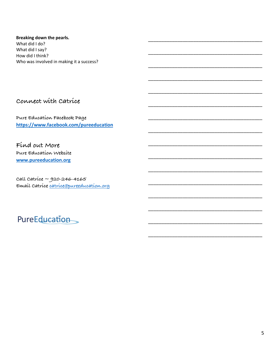Breaking down the pearls. What did I do?

What did I say? How did I think? Who was involved in making it a success?

### Connect with Catrice

Pure Education Facebook Page https://www.facebook.com/pureeducation

Find out More Pure Education Website www.pureeducation.org

 $cal$  call catrice ~ 920-246-4165 Email Catrice catrice@pureeducation.org

## PureEducation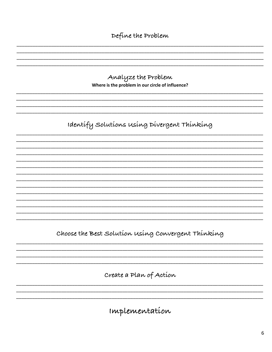Define the Problem

Analyze the Problem Where is the problem in our circle of influence?

Identify Solutions using Divergent Thinking

Choose the Best Solution using Convergent Thinking

Create a Plan of Action

Implementation